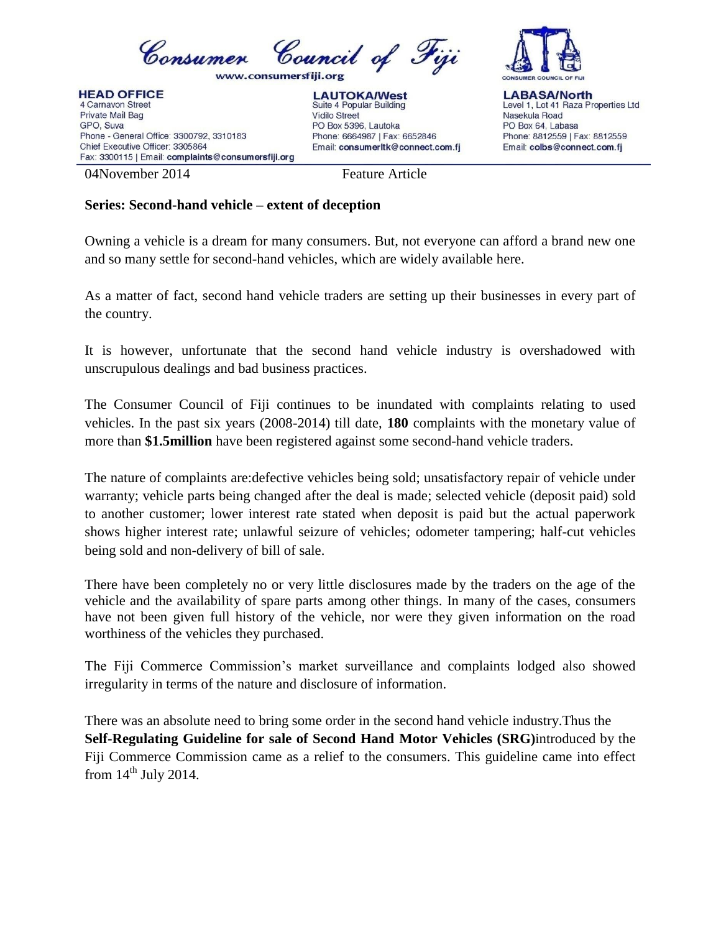

**HEAD OFFICE** 4 Carnavon Street Private Mail Bag GPO, Suva Phone - General Office: 3300792, 3310183 Chief Executive Officer: 3305864 Fax: 3300115 | Email: complaints@consumersfiji.org





**LABASA/North** Level 1, Lot 41 Raza Properties Ltd Nasekula Road PO Box 64, Labasa Phone: 8812559 | Fax: 8812559 Email: colbs@connect.com.fj

04November 2014 Feature Article

Email: consumerItk@connect.com.fi

Phone: 6664987 | Fax: 6652846

## **Series: Second-hand vehicle – extent of deception**

Owning a vehicle is a dream for many consumers. But, not everyone can afford a brand new one and so many settle for second-hand vehicles, which are widely available here.

PO Box 5396, Lautoka

As a matter of fact, second hand vehicle traders are setting up their businesses in every part of the country.

It is however, unfortunate that the second hand vehicle industry is overshadowed with unscrupulous dealings and bad business practices.

The Consumer Council of Fiji continues to be inundated with complaints relating to used vehicles. In the past six years (2008-2014) till date, **180** complaints with the monetary value of more than **\$1.5million** have been registered against some second-hand vehicle traders.

The nature of complaints are:defective vehicles being sold; unsatisfactory repair of vehicle under warranty; vehicle parts being changed after the deal is made; selected vehicle (deposit paid) sold to another customer; lower interest rate stated when deposit is paid but the actual paperwork shows higher interest rate; unlawful seizure of vehicles; odometer tampering; half-cut vehicles being sold and non-delivery of bill of sale.

There have been completely no or very little disclosures made by the traders on the age of the vehicle and the availability of spare parts among other things. In many of the cases, consumers have not been given full history of the vehicle, nor were they given information on the road worthiness of the vehicles they purchased.

The Fiji Commerce Commission's market surveillance and complaints lodged also showed irregularity in terms of the nature and disclosure of information.

There was an absolute need to bring some order in the second hand vehicle industry.Thus the **Self-Regulating Guideline for sale of Second Hand Motor Vehicles (SRG)**introduced by the Fiji Commerce Commission came as a relief to the consumers. This guideline came into effect from  $14<sup>th</sup>$  July 2014.